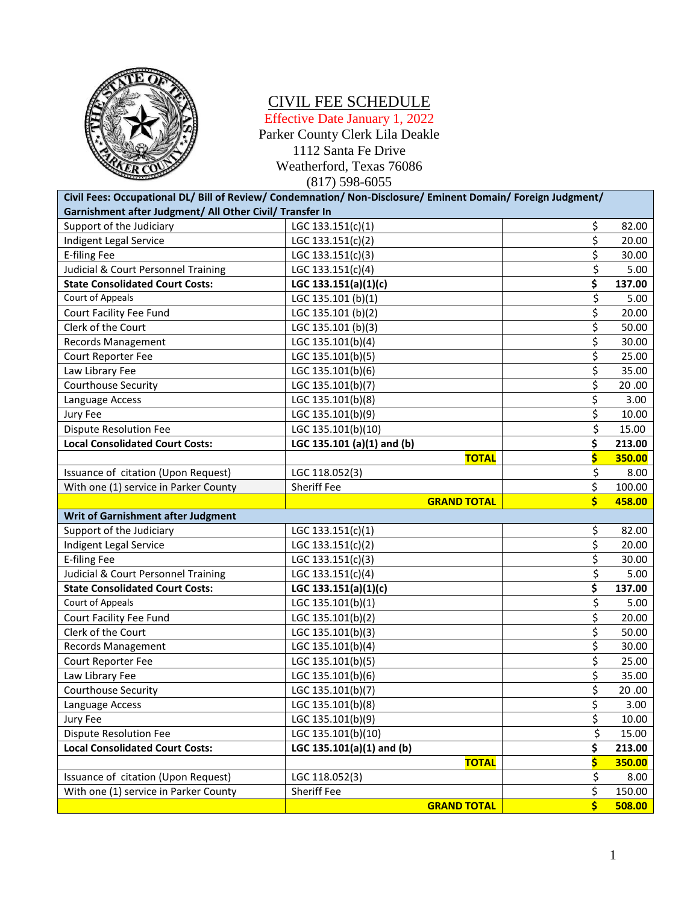

### CIVIL FEE SCHEDULE

Effective Date January 1, 2022 Parker County Clerk Lila Deakle 1112 Santa Fe Drive Weatherford, Texas 76086 (817) 598-6055

| Civil Fees: Occupational DL/ Bill of Review/ Condemnation/ Non-Disclosure/ Eminent Domain/ Foreign Judgment/ |                            |          |        |
|--------------------------------------------------------------------------------------------------------------|----------------------------|----------|--------|
| Garnishment after Judgment/ All Other Civil/ Transfer In                                                     |                            |          |        |
| Support of the Judiciary                                                                                     | LGC 133.151(c)(1)          | \$       | 82.00  |
| Indigent Legal Service                                                                                       | LGC 133.151(c)(2)          | \$       | 20.00  |
| <b>E-filing Fee</b>                                                                                          | LGC 133.151(c)(3)          | \$       | 30.00  |
| Judicial & Court Personnel Training                                                                          | LGC 133.151(c)(4)          | \$       | 5.00   |
| <b>State Consolidated Court Costs:</b>                                                                       | LGC 133.151(a)(1)(c)       | \$       | 137.00 |
| Court of Appeals                                                                                             | LGC 135.101 (b)(1)         | \$       | 5.00   |
| Court Facility Fee Fund                                                                                      | LGC 135.101 (b)(2)         | \$       | 20.00  |
| Clerk of the Court                                                                                           | LGC 135.101 (b)(3)         | \$       | 50.00  |
| Records Management                                                                                           | LGC 135.101(b)(4)          | \$       | 30.00  |
| Court Reporter Fee                                                                                           | LGC 135.101(b)(5)          | \$       | 25.00  |
| Law Library Fee                                                                                              | LGC 135.101(b)(6)          | \$       | 35.00  |
| Courthouse Security                                                                                          | LGC 135.101(b)(7)          | \$       | 20.00  |
| Language Access                                                                                              | LGC 135.101(b)(8)          | \$       | 3.00   |
| Jury Fee                                                                                                     | LGC 135.101(b)(9)          | \$       | 10.00  |
| <b>Dispute Resolution Fee</b>                                                                                | LGC 135.101(b)(10)         | \$       | 15.00  |
| <b>Local Consolidated Court Costs:</b>                                                                       | LGC 135.101 (a)(1) and (b) | \$       | 213.00 |
|                                                                                                              | <b>TOTAL</b>               | Ś        | 350.00 |
| Issuance of citation (Upon Request)                                                                          | LGC 118.052(3)             | \$       | 8.00   |
| With one (1) service in Parker County                                                                        | <b>Sheriff Fee</b>         | \$       | 100.00 |
|                                                                                                              |                            |          |        |
|                                                                                                              | <b>GRAND TOTAL</b>         | Ś        | 458.00 |
| Writ of Garnishment after Judgment                                                                           |                            |          |        |
| Support of the Judiciary                                                                                     | LGC $133.151(c)(1)$        | \$       | 82.00  |
| Indigent Legal Service                                                                                       | LGC 133.151(c)(2)          | \$       | 20.00  |
| <b>E-filing Fee</b>                                                                                          | LGC 133.151(c)(3)          | \$       | 30.00  |
| Judicial & Court Personnel Training                                                                          | LGC 133.151(c)(4)          | \$       | 5.00   |
| <b>State Consolidated Court Costs:</b>                                                                       | LGC 133.151(a)(1)(c)       | \$       | 137.00 |
| <b>Court of Appeals</b>                                                                                      | LGC 135.101(b)(1)          | \$       | 5.00   |
| Court Facility Fee Fund                                                                                      | LGC 135.101(b)(2)          | \$       | 20.00  |
| Clerk of the Court                                                                                           | LGC 135.101(b)(3)          | \$       | 50.00  |
| <b>Records Management</b>                                                                                    | LGC 135.101(b)(4)          | \$       | 30.00  |
| Court Reporter Fee                                                                                           | LGC 135.101(b)(5)          | \$       | 25.00  |
| Law Library Fee                                                                                              | LGC 135.101(b)(6)          | \$       | 35.00  |
| Courthouse Security                                                                                          | LGC 135.101(b)(7)          | \$       | 20.00  |
| Language Access                                                                                              | LGC 135.101(b)(8)          |          | 3.00   |
| Jury Fee                                                                                                     | LGC 135.101(b)(9)          | \$<br>\$ | 10.00  |
| <b>Dispute Resolution Fee</b>                                                                                | LGC 135.101(b)(10)         | \$       | 15.00  |
| <b>Local Consolidated Court Costs:</b>                                                                       | LGC 135.101(a)(1) and (b)  | \$       | 213.00 |
|                                                                                                              | <b>TOTAL</b>               | \$       | 350.00 |
| Issuance of citation (Upon Request)                                                                          | LGC 118.052(3)             | \$       | 8.00   |
| With one (1) service in Parker County                                                                        | Sheriff Fee                | \$       | 150.00 |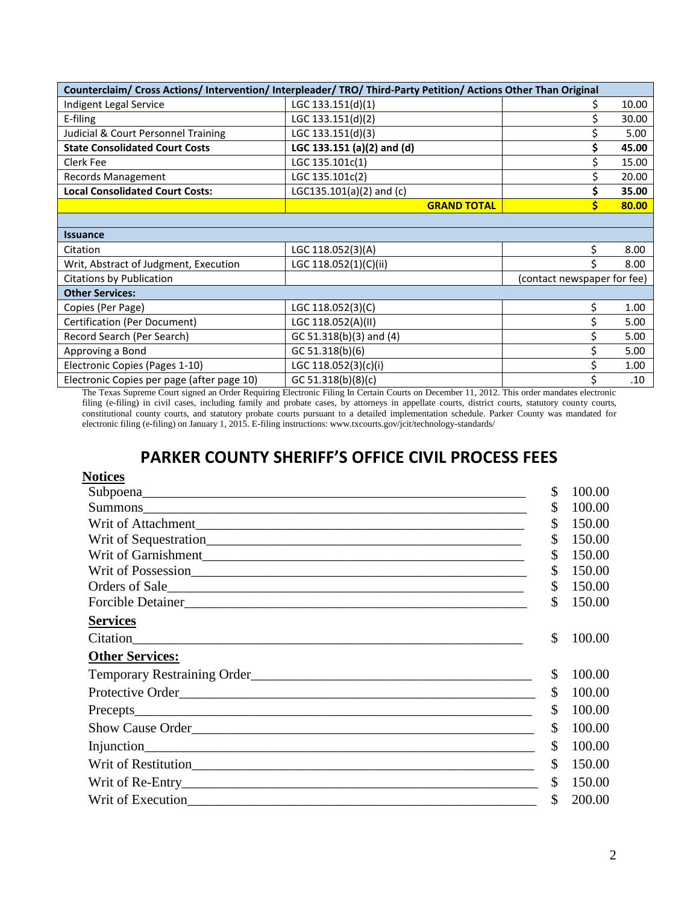| Counterclaim/ Cross Actions/ Intervention/ Interpleader/ TRO/ Third-Party Petition/ Actions Other Than Original |                                 |                             |       |
|-----------------------------------------------------------------------------------------------------------------|---------------------------------|-----------------------------|-------|
| Indigent Legal Service                                                                                          | LGC 133.151(d)(1)               |                             | 10.00 |
| E-filing                                                                                                        | LGC 133.151(d)(2)               |                             | 30.00 |
| Judicial & Court Personnel Training                                                                             | LGC 133.151(d)(3)               |                             | 5.00  |
| <b>State Consolidated Court Costs</b>                                                                           | LGC 133.151 (a)(2) and (d)      |                             | 45.00 |
| Clerk Fee                                                                                                       | LGC 135.101c(1)                 |                             | 15.00 |
| Records Management                                                                                              | LGC 135.101c(2)                 |                             | 20.00 |
| <b>Local Consolidated Court Costs:</b>                                                                          | LGC135.101(a)(2) and (c)        |                             | 35.00 |
|                                                                                                                 | <b>GRAND TOTAL</b>              |                             | 80.00 |
|                                                                                                                 |                                 |                             |       |
| <b>Issuance</b>                                                                                                 |                                 |                             |       |
| Citation                                                                                                        | LGC 118.052(3)(A)               |                             | 8.00  |
| Writ, Abstract of Judgment, Execution                                                                           | LGC 118.052(1)(C)(ii)           |                             | 8.00  |
| <b>Citations by Publication</b>                                                                                 |                                 | (contact newspaper for fee) |       |
| <b>Other Services:</b>                                                                                          |                                 |                             |       |
| Copies (Per Page)                                                                                               | LGC 118.052(3)(C)               |                             | 1.00  |
| Certification (Per Document)                                                                                    | LGC 118.052(A)(II)              |                             | 5.00  |
| Record Search (Per Search)                                                                                      | GC 51.318(b)(3) and (4)         |                             | 5.00  |
| Approving a Bond                                                                                                | GC 51.318(b)(6)                 |                             | 5.00  |
| Electronic Copies (Pages 1-10)                                                                                  | LGC 118.052(3)(c)(i)            |                             | 1.00  |
| Electronic Copies per page (after page 10)                                                                      | GC 51.318(b)(8)(c)<br>$0.010$ m |                             | .10   |

The Texas Supreme Court signed an Order Requiring Electronic Filing In Certain Courts on December 11, 2012. This order mandates electronic filing (e-filing) in civil cases, including family and probate cases, by attorneys in appellate courts, district courts, statutory county courts, constitutional county courts, and statutory probate courts pursuant to a detailed implementation schedule. Parker County was mandated for electronic filing (e-filing) on January 1, 2015. E-filing instructions: www.txcourts.gov/jcit/technology-standards/

## **PARKER COUNTY SHERIFF'S OFFICE CIVIL PROCESS FEES**

#### **Notices**

|                                                                                                                                                                                                                               | \$<br>100.00 |
|-------------------------------------------------------------------------------------------------------------------------------------------------------------------------------------------------------------------------------|--------------|
| Summons                                                                                                                                                                                                                       | \$<br>100.00 |
|                                                                                                                                                                                                                               | \$<br>150.00 |
|                                                                                                                                                                                                                               | \$<br>150.00 |
|                                                                                                                                                                                                                               | \$<br>150.00 |
|                                                                                                                                                                                                                               | \$<br>150.00 |
| Orders of Sale                                                                                                                                                                                                                | \$<br>150.00 |
| Forcible Detainer                                                                                                                                                                                                             | \$<br>150.00 |
| <b>Services</b>                                                                                                                                                                                                               |              |
| Citation Citation Citation Communication of the Citation Citation Communication of the Citation Citation Citation Citation Citation Citation Citation Citation Citation Citation Citation Citation Citation Citation Citation | \$<br>100.00 |
| <b>Other Services:</b>                                                                                                                                                                                                        |              |
|                                                                                                                                                                                                                               | \$<br>100.00 |
| Protective Order                                                                                                                                                                                                              | \$<br>100.00 |
|                                                                                                                                                                                                                               | \$<br>100.00 |
| Show Cause Order                                                                                                                                                                                                              | \$<br>100.00 |
|                                                                                                                                                                                                                               | \$<br>100.00 |
|                                                                                                                                                                                                                               | \$<br>150.00 |
|                                                                                                                                                                                                                               | \$<br>150.00 |
|                                                                                                                                                                                                                               | \$<br>200.00 |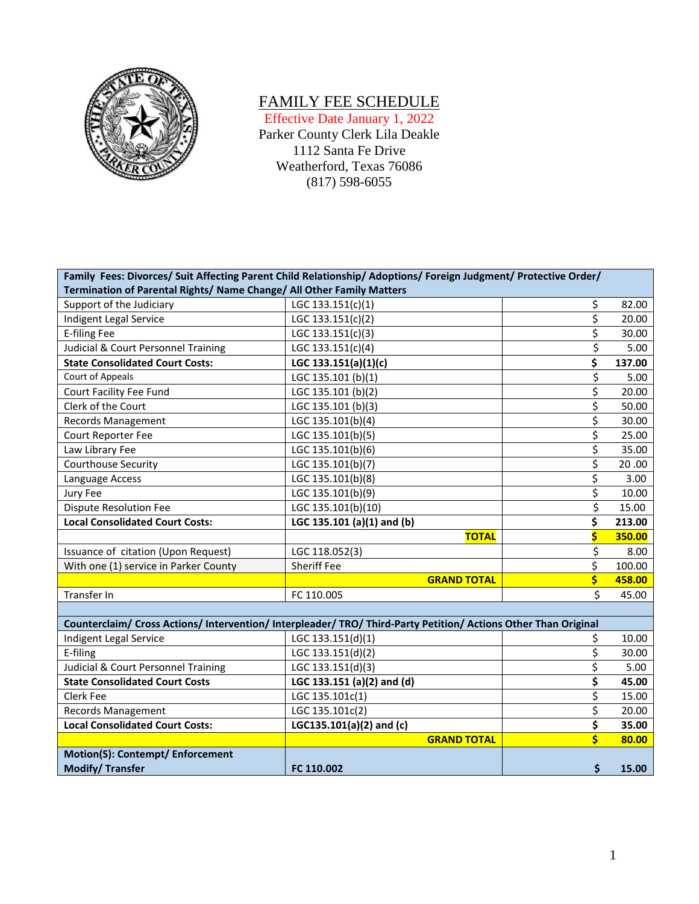

# FAMILY FEE SCHEDULE

Effective Date January 1, 2022 Parker County Clerk Lila Deakle 1112 Santa Fe Drive

Weatherford, Texas 76086

(817) 598-6055

| Family Fees: Divorces/ Suit Affecting Parent Child Relationship/ Adoptions/ Foreign Judgment/ Protective Order/ |                            |    |        |
|-----------------------------------------------------------------------------------------------------------------|----------------------------|----|--------|
| Termination of Parental Rights/ Name Change/ All Other Family Matters                                           |                            |    |        |
| Support of the Judiciary                                                                                        | LGC 133.151(c)(1)          | \$ | 82.00  |
| Indigent Legal Service                                                                                          | LGC 133.151(c)(2)          | \$ | 20.00  |
| <b>E-filing Fee</b>                                                                                             | LGC 133.151(c)(3)          | \$ | 30.00  |
| Judicial & Court Personnel Training                                                                             | LGC 133.151(c)(4)          | \$ | 5.00   |
| <b>State Consolidated Court Costs:</b>                                                                          | LGC 133.151(a)(1)(c)       | \$ | 137.00 |
| Court of Appeals                                                                                                | LGC 135.101 (b)(1)         | \$ | 5.00   |
| Court Facility Fee Fund                                                                                         | LGC 135.101 (b)(2)         | \$ | 20.00  |
| Clerk of the Court                                                                                              | LGC 135.101 (b)(3)         | \$ | 50.00  |
| <b>Records Management</b>                                                                                       | LGC 135.101(b)(4)          | \$ | 30.00  |
| Court Reporter Fee                                                                                              | LGC 135.101(b)(5)          | \$ | 25.00  |
| Law Library Fee                                                                                                 | LGC 135.101(b)(6)          | \$ | 35.00  |
| Courthouse Security                                                                                             | LGC 135.101(b)(7)          | \$ | 20.00  |
| Language Access                                                                                                 | LGC 135.101(b)(8)          | \$ | 3.00   |
| Jury Fee                                                                                                        | LGC 135.101(b)(9)          | \$ | 10.00  |
| <b>Dispute Resolution Fee</b>                                                                                   | LGC 135.101(b)(10)         | \$ | 15.00  |
| <b>Local Consolidated Court Costs:</b>                                                                          | LGC 135.101 (a)(1) and (b) | \$ | 213.00 |
|                                                                                                                 | <b>TOTAL</b>               | Ś  | 350.00 |
| Issuance of citation (Upon Request)                                                                             | LGC 118.052(3)             | \$ | 8.00   |
| With one (1) service in Parker County                                                                           | Sheriff Fee                | \$ | 100.00 |
|                                                                                                                 | <b>GRAND TOTAL</b>         | \$ | 458.00 |
| Transfer In                                                                                                     | FC 110.005                 | \$ | 45.00  |
|                                                                                                                 |                            |    |        |
| Counterclaim/ Cross Actions/ Intervention/ Interpleader/ TRO/ Third-Party Petition/ Actions Other Than Original |                            |    |        |
| Indigent Legal Service                                                                                          | LGC 133.151(d)(1)          | \$ | 10.00  |
| E-filing                                                                                                        | LGC 133.151(d)(2)          | \$ | 30.00  |
| Judicial & Court Personnel Training                                                                             | LGC 133.151(d)(3)          | \$ | 5.00   |
| <b>State Consolidated Court Costs</b>                                                                           | LGC 133.151 (a)(2) and (d) | \$ | 45.00  |
| Clerk Fee                                                                                                       | LGC 135.101c(1)            | \$ | 15.00  |
| <b>Records Management</b>                                                                                       | LGC 135.101c(2)            | \$ | 20.00  |
| <b>Local Consolidated Court Costs:</b>                                                                          | LGC135.101(a)(2) and (c)   | \$ | 35.00  |
|                                                                                                                 | <b>GRAND TOTAL</b>         | \$ | 80.00  |
| Motion(S): Contempt/ Enforcement                                                                                |                            |    |        |
| <b>Modify/Transfer</b>                                                                                          | FC 110.002                 | \$ | 15.00  |